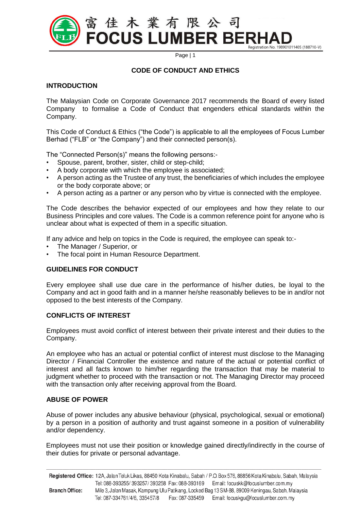

## **CODE OF CONDUCT AND ETHICS**

#### **INTRODUCTION**

The Malaysian Code on Corporate Governance 2017 recommends the Board of every listed Company to formalise a Code of Conduct that engenders ethical standards within the Company.

This Code of Conduct & Ethics ("the Code") is applicable to all the employees of Focus Lumber Berhad ("FLB" or "the Company") and their connected person(s).

The "Connected Person(s)" means the following persons:-

- Spouse, parent, brother, sister, child or step-child;
- A body corporate with which the employee is associated;
- A person acting as the Trustee of any trust, the beneficiaries of which includes the employee or the body corporate above; or
- A person acting as a partner or any person who by virtue is connected with the employee.

The Code describes the behavior expected of our employees and how they relate to our Business Principles and core values. The Code is a common reference point for anyone who is unclear about what is expected of them in a specific situation.

If any advice and help on topics in the Code is required, the employee can speak to:-

- The Manager / Superior, or
- The focal point in Human Resource Department.

## **GUIDELINES FOR CONDUCT**

Every employee shall use due care in the performance of his/her duties, be loyal to the Company and act in good faith and in a manner he/she reasonably believes to be in and/or not opposed to the best interests of the Company.

#### **CONFLICTS OF INTEREST**

Employees must avoid conflict of interest between their private interest and their duties to the Company.

An employee who has an actual or potential conflict of interest must disclose to the Managing Director / Financial Controller the existence and nature of the actual or potential conflict of interest and all facts known to him/her regarding the transaction that may be material to judgment whether to proceed with the transaction or not. The Managing Director may proceed with the transaction only after receiving approval from the Board.

## **ABUSE OF POWER**

Abuse of power includes any abusive behaviour (physical, psychological, sexual or emotional) by a person in a position of authority and trust against someone in a position of vulnerability and/or dependency.

Employees must not use their position or knowledge gained directly/indirectly in the course of their duties for private or personal advantage.

|                       |                               |                 | Registered Office: 12A, Jalan Teluk Likas, 88450 Kota Kinabalu, Sabah / P.O. Box 576, 88856 Kota Kinabalu, Sabah, Malaysia |
|-----------------------|-------------------------------|-----------------|----------------------------------------------------------------------------------------------------------------------------|
|                       |                               |                 | Email: focuskk@focuslumber.com.my                                                                                          |
| <b>Branch Office:</b> |                               |                 | Mile 3, Jalan Masak, Kampung Ulu Patikang, Locked Bag 13 SM-88, 89009 Keningau, Sabah, Malaysia                            |
|                       | Tel: 087-334761/4/6, 335457/8 | Fax: 087-335459 | Email: focuskgu@focuslumber.com.my                                                                                         |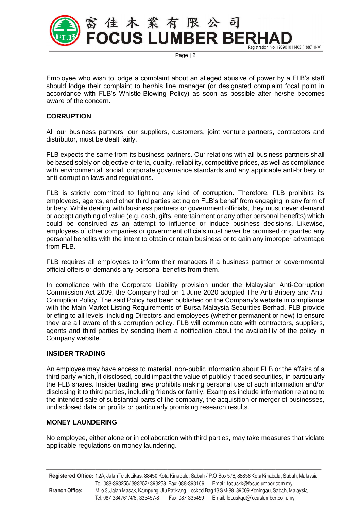

Employee who wish to lodge a complaint about an alleged abusive of power by a FLB's staff should lodge their complaint to her/his line manager (or designated complaint focal point in accordance with FLB's Whistle-Blowing Policy) as soon as possible after he/she becomes aware of the concern.

# **CORRUPTION**

All our business partners, our suppliers, customers, joint venture partners, contractors and distributor, must be dealt fairly.

FLB expects the same from its business partners. Our relations with all business partners shall be based solely on objective criteria, quality, reliability, competitive prices, as well as compliance with environmental, social, corporate governance standards and any applicable anti-bribery or anti-corruption laws and regulations.

FLB is strictly committed to fighting any kind of corruption. Therefore, FLB prohibits its employees, agents, and other third parties acting on FLB's behalf from engaging in any form of bribery. While dealing with business partners or government officials, they must never demand or accept anything of value (e.g. cash, gifts, entertainment or any other personal benefits) which could be construed as an attempt to influence or induce business decisions. Likewise, employees of other companies or government officials must never be promised or granted any personal benefits with the intent to obtain or retain business or to gain any improper advantage from FLB.

FLB requires all employees to inform their managers if a business partner or governmental official offers or demands any personal benefits from them.

In compliance with the Corporate Liability provision under the Malaysian Anti-Corruption Commission Act 2009, the Company had on 1 June 2020 adopted The Anti-Bribery and Anti-Corruption Policy. The said Policy had been published on the Company's website in compliance with the Main Market Listing Requirements of Bursa Malaysia Securities Berhad. FLB provide briefing to all levels, including Directors and employees (whether permanent or new) to ensure they are all aware of this corruption policy. FLB will communicate with contractors, suppliers, agents and third parties by sending them a notification about the availability of the policy in Company website.

## **INSIDER TRADING**

An employee may have access to material, non-public information about FLB or the affairs of a third party which, if disclosed, could impact the value of publicly-traded securities, in particularly the FLB shares. Insider trading laws prohibits making personal use of such information and/or disclosing it to third parties, including friends or family. Examples include information relating to the intended sale of substantial parts of the company, the acquisition or merger of businesses, undisclosed data on profits or particularly promising research results.

## **MONEY LAUNDERING**

No employee, either alone or in collaboration with third parties, may take measures that violate applicable regulations on money laundering.

Registered Office: 12A, Jalan Teluk Likas, 88450 Kota Kinabalu, Sabah / P.O. Box 576, 88856 Kota Kinabalu, Sabah, Malaysia Tel: 088-393255/393257/393258 Fax: 088-393169 Email: focuskk@focuslumber.com.my **Branch Office:** Mile 3, Jalan Masak, Kampung Ulu Patikang, Locked Bag 13 SM-88, 89009 Keningau, Sabah, Malaysia Tel: 087-334761/4/6, 335457/8 Fax: 087-335459 Email: focuskgu@focuslumber.com.my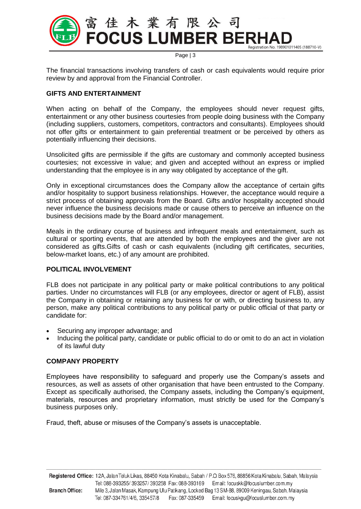

The financial transactions involving transfers of cash or cash equivalents would require prior review by and approval from the Financial Controller.

# **GIFTS AND ENTERTAINMENT**

When acting on behalf of the Company, the employees should never request gifts, entertainment or any other business courtesies from people doing business with the Company (including suppliers, customers, competitors, contractors and consultants). Employees should not offer gifts or entertainment to gain preferential treatment or be perceived by others as potentially influencing their decisions.

Unsolicited gifts are permissible if the gifts are customary and commonly accepted business courtesies; not excessive in value; and given and accepted without an express or implied understanding that the employee is in any way obligated by acceptance of the gift.

Only in exceptional circumstances does the Company allow the acceptance of certain gifts and/or hospitality to support business relationships. However, the acceptance would require a strict process of obtaining approvals from the Board. Gifts and/or hospitality accepted should never influence the business decisions made or cause others to perceive an influence on the business decisions made by the Board and/or management.

Meals in the ordinary course of business and infrequent meals and entertainment, such as cultural or sporting events, that are attended by both the employees and the giver are not considered as gifts.Gifts of cash or cash equivalents (including gift certificates, securities, below-market loans, etc.) of any amount are prohibited.

## **POLITICAL INVOLVEMENT**

FLB does not participate in any political party or make political contributions to any political parties. Under no circumstances will FLB (or any employees, director or agent of FLB), assist the Company in obtaining or retaining any business for or with, or directing business to, any person, make any political contributions to any political party or public official of that party or candidate for:

- Securing any improper advantage; and
- Inducing the political party, candidate or public official to do or omit to do an act in violation of its lawful duty

## **COMPANY PROPERTY**

Employees have responsibility to safeguard and properly use the Company's assets and resources, as well as assets of other organisation that have been entrusted to the Company. Except as specifically authorised, the Company assets, including the Company's equipment, materials, resources and proprietary information, must strictly be used for the Company's business purposes only.

Fraud, theft, abuse or misuses of the Company's assets is unacceptable.

Registered Office: 12A, Jalan Teluk Likas, 88450 Kota Kinabalu, Sabah / P.O. Box 576, 88856 Kota Kinabalu, Sabah, Malaysia Tel: 088-393255/393257/393258 Fax: 088-393169 Email: focuskk@focuslumber.com.my **Branch Office:** Mile 3, Jalan Masak, Kampung Ulu Patikang, Locked Bag 13 SM-88, 89009 Keningau, Sabah, Malaysia Tel: 087-334761/4/6, 335457/8 Fax: 087-335459 Email: focuskgu@focuslumber.com.my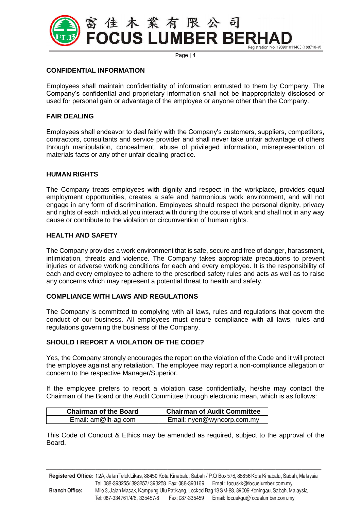

#### **CONFIDENTIAL INFORMATION**

Employees shall maintain confidentiality of information entrusted to them by Company. The Company's confidential and proprietary information shall not be inappropriately disclosed or used for personal gain or advantage of the employee or anyone other than the Company.

#### **FAIR DEALING**

Employees shall endeavor to deal fairly with the Company's customers, suppliers, competitors, contractors, consultants and service provider and shall never take unfair advantage of others through manipulation, concealment, abuse of privileged information, misrepresentation of materials facts or any other unfair dealing practice.

#### **HUMAN RIGHTS**

The Company treats employees with dignity and respect in the workplace, provides equal employment opportunities, creates a safe and harmonious work environment, and will not engage in any form of discrimination. Employees should respect the personal dignity, privacy and rights of each individual you interact with during the course of work and shall not in any way cause or contribute to the violation or circumvention of human rights.

## **HEALTH AND SAFETY**

The Company provides a work environment that is safe, secure and free of danger, harassment, intimidation, threats and violence. The Company takes appropriate precautions to prevent injuries or adverse working conditions for each and every employee. It is the responsibility of each and every employee to adhere to the prescribed safety rules and acts as well as to raise any concerns which may represent a potential threat to health and safety.

# **COMPLIANCE WITH LAWS AND REGULATIONS**

The Company is committed to complying with all laws, rules and regulations that govern the conduct of our business. All employees must ensure compliance with all laws, rules and regulations governing the business of the Company.

#### **SHOULD I REPORT A VIOLATION OF THE CODE?**

Yes, the Company strongly encourages the report on the violation of the Code and it will protect the employee against any retaliation. The employee may report a non-compliance allegation or concern to the respective Manager/Superior.

If the employee prefers to report a violation case confidentially, he/she may contact the Chairman of the Board or the Audit Committee through electronic mean, which is as follows:

| <b>Chairman of the Board</b> | <b>Chairman of Audit Committee</b> |
|------------------------------|------------------------------------|
| Email: am@lh-ag.com          | Email: nyen@wyncorp.com.my         |

This Code of Conduct & Ethics may be amended as required, subject to the approval of the Board.

Registered Office: 12A, Jalan Teluk Likas, 88450 Kota Kinabalu, Sabah / P.O. Box 576, 88856 Kota Kinabalu, Sabah, Malaysia Tel: 088-393255/393257/393258 Fax: 088-393169 Email: focuskk@focuslumber.com.my **Branch Office:** Mile 3, Jalan Masak, Kampung Ulu Patikang, Locked Bag 13 SM-88, 89009 Keningau, Sabah, Malaysia Tel: 087-334761/4/6, 335457/8 Fax: 087-335459 Email: focuskgu@focuslumber.com.my